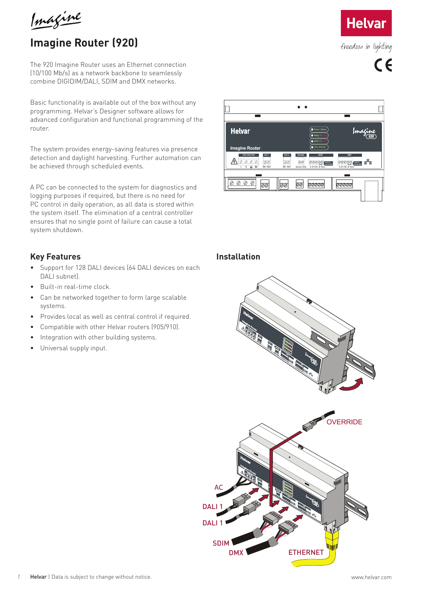Imagine

# **Imagine Router (920)**

The 920 Imagine Router uses an Ethernet connection (10/100 Mb/s) as a network backbone to seamlessly combine DIGIDIM/DALI, SDIM and DMX networks.

Basic functionality is available out of the box without any programming. Helvar's Designer software allows for advanced configuration and functional programming of the router.

The system provides energy-saving features via presence detection and daylight harvesting. Further automation can be achieved through scheduled events.

A PC can be connected to the system for diagnostics and logging purposes if required, but there is no need for PC control in daily operation, as all data is stored within the system itself. The elimination of a central controller ensures that no single point of failure can cause a total system shutdown.

#### **Key Features**

- Support for 128 DALI devices (64 DALI devices on each DALI subnet).
- Built-in real-time clock.
- Can be networked together to form large scalable systems.
- Provides local as well as central control if required.
- Compatible with other Helvar routers (905/910).
- Integration with other building systems.
- Universal supply input.



#### **Installation**







freedom in lighting

 $C \in$